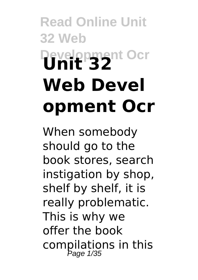# **Read Online Unit 32 Web Development Ocr Unit 32 Web Devel opment Ocr**

When somebody should go to the book stores, search instigation by shop, shelf by shelf, it is really problematic. This is why we offer the book compilations in this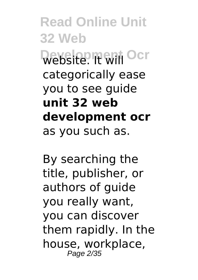**Read Online Unit 32 Web Development Ocr** categorically ease you to see guide **unit 32 web development ocr** as you such as.

By searching the title, publisher, or authors of guide you really want, you can discover them rapidly. In the house, workplace, Page 2/35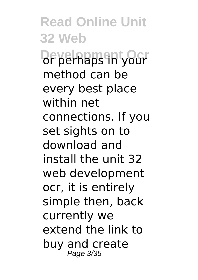**Read Online Unit 32 Web Deverhaps in your** method can be every best place within net connections. If you set sights on to download and install the unit 32 web development ocr, it is entirely simple then, back currently we extend the link to buy and create Page 3/35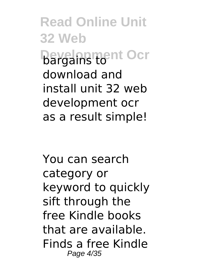**Read Online Unit 32 Web Development Ocr** download and install unit 32 web development ocr as a result simple!

You can search category or keyword to quickly sift through the free Kindle books that are available. Finds a free Kindle Page 4/35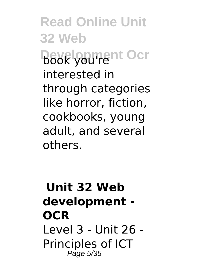**Read Online Unit 32 Web Book you'rent Ocr** interested in through categories like horror, fiction, cookbooks, young adult, and several others.

# **Unit 32 Web development - OCR** Level 3 - Unit 26 - Principles of ICT Page 5/35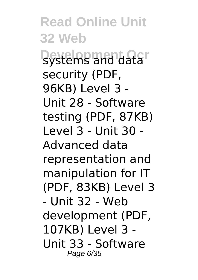**Read Online Unit 32 Web Development Ocr** security (PDF, 96KB) Level 3 - Unit 28 - Software testing (PDF, 87KB) Level 3 - Unit 30 - Advanced data representation and manipulation for IT (PDF, 83KB) Level 3 - Unit 32 - Web development (PDF, 107KB) Level 3 - Unit 33 - Software Page 6/35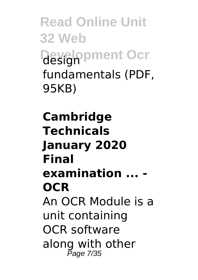**Read Online Unit 32 Web Development Ocr** fundamentals (PDF, 95KB)

**Cambridge Technicals January 2020 Final examination ... - OCR** An OCR Module is a unit containing OCR software along with other Page 7/35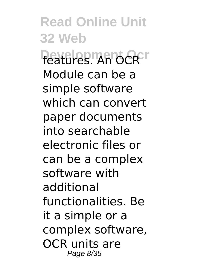**Read Online Unit 32 Web Peatfires MAIOCRFT** Module can be a simple software which can convert paper documents into searchable electronic files or can be a complex software with additional functionalities. Be it a simple or a complex software, OCR units are Page 8/35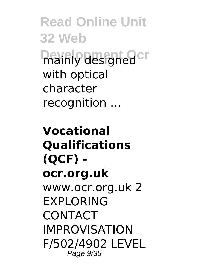**Read Online Unit 32 Web Development Ocr** with optical character recognition ...

**Vocational Qualifications (QCF) ocr.org.uk** www.ocr.org.uk 2 **FXPI ORING** CONTACT IMPROVISATION F/502/4902 LEVEL Page 9/35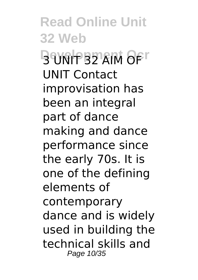**Read Online Unit 32 Web BEINDERS** AFT UNIT Contact improvisation has been an integral part of dance making and dance performance since the early 70s. It is one of the defining elements of contemporary dance and is widely used in building the technical skills and Page 10/35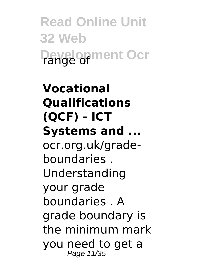**Read Online Unit 32 Web Development Ocr** 

# **Vocational Qualifications (QCF) - ICT Systems and ...** ocr.org.uk/gradeboundaries . Understanding your grade boundaries . A grade boundary is the minimum mark you need to get a Page 11/35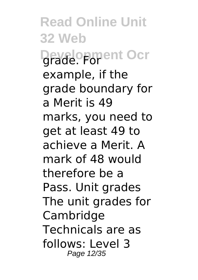**Read Online Unit 32 Web Development Ocr** example, if the grade boundary for a Merit is 49 marks, you need to get at least 49 to achieve a Merit. A mark of 48 would therefore be a Pass. Unit grades The unit grades for Cambridge Technicals are as follows: Level 3 Page 12/35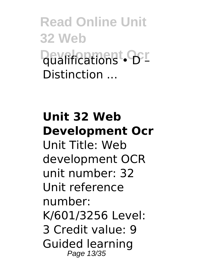**Read Online Unit 32 Web Deverications • OFF** Distinction ...

# **Unit 32 Web Development Ocr** Unit Title: Web development OCR unit number: 32 Unit reference number: K/601/3256 Level: 3 Credit value: 9 Guided learning Page 13/35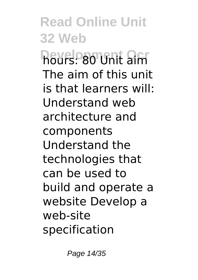**Read Online Unit 32 Web Development Sign** The aim of this unit is that learners will: Understand web architecture and components Understand the technologies that can be used to build and operate a website Develop a web-site specification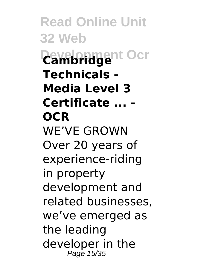**Read Online Unit 32 Web Development Ocr Cambridge Technicals - Media Level 3 Certificate ... - OCR** WE'VE GROWN Over 20 years of experience-riding in property development and related businesses, we've emerged as the leading developer in the Page 15/35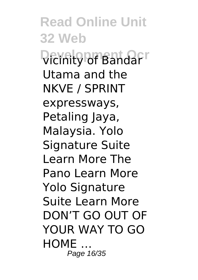**Read Online Unit 32 Web Vicinity of Bandar** Utama and the NKVE / SPRINT expressways, Petaling Jaya, Malaysia. Yolo Signature Suite Learn More The Pano Learn More Yolo Signature Suite Learn More DON'T GO OUT OF YOUR WAY TO GO HOME … Page 16/35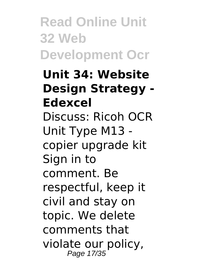**Read Online Unit 32 Web Development Ocr**

**Unit 34: Website Design Strategy - Edexcel** Discuss: Ricoh OCR Unit Type M13 copier upgrade kit Sign in to comment. Be respectful, keep it civil and stay on topic. We delete comments that violate our policy, Page 17/35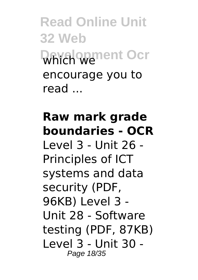**Read Online Unit 32 Web Development Ocr** encourage you to read ...

# **Raw mark grade boundaries - OCR**

Level 3 - Unit 26 - Principles of ICT systems and data security (PDF, 96KB) Level 3 - Unit 28 - Software testing (PDF, 87KB) Level 3 - Unit 30 - Page 18/35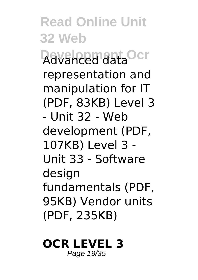**Read Online Unit 32 Web Davancemant Ocr** representation and manipulation for IT (PDF, 83KB) Level 3 - Unit 32 - Web development (PDF, 107KB) Level 3 - Unit 33 - Software design fundamentals (PDF, 95KB) Vendor units (PDF, 235KB)

#### **OCR LEVEL 3** Page 19/35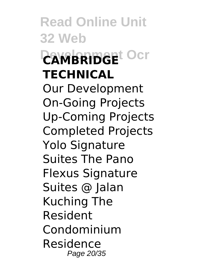**Read Online Unit 32 Web DEVERIBEE OCT TECHNICAL** Our Development On-Going Projects Up-Coming Projects Completed Projects Yolo Signature Suites The Pano Flexus Signature Suites @ Jalan Kuching The Resident Condominium Residence Page 20/35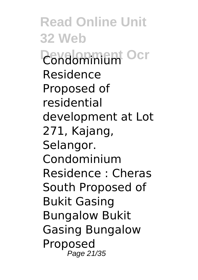**Read Online Unit 32 Web Condomininum** Ocr Residence Proposed of residential development at Lot 271, Kajang, Selangor. Condominium Residence : Cheras South Proposed of Bukit Gasing Bungalow Bukit Gasing Bungalow Proposed Page 21/35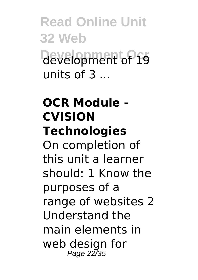**Read Online Unit 32 Web Development Ocr** development of 19 units of  $3 \ldots$ 

# **OCR Module - CVISION Technologies**

On completion of this unit a learner should: 1 Know the purposes of a range of websites 2 Understand the main elements in web design for Page 22/35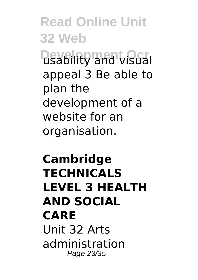**Read Online Unit 32 Web Disability and visual** appeal 3 Be able to plan the development of a website for an organisation.

# **Cambridge TECHNICALS LEVEL 3 HEALTH AND SOCIAL CARE** Unit 32 Arts administration Page 23/35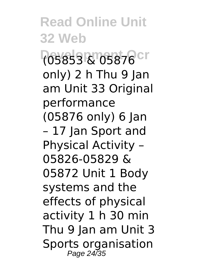**Read Online Unit 32 Web Development Ocr** (05853 & 05876 only) 2 h Thu 9 Jan am Unit 33 Original performance (05876 only) 6 Jan – 17 Jan Sport and Physical Activity – 05826-05829 & 05872 Unit 1 Body systems and the effects of physical activity 1 h 30 min Thu 9 Jan am Unit 3 Sports organisation Page 24/35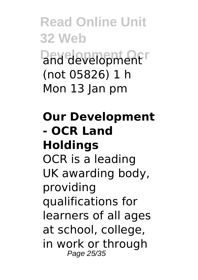**Read Online Unit 32 Web Dend development** (not 05826) 1 h Mon 13 Jan pm

# **Our Development - OCR Land Holdings**

OCR is a leading UK awarding body, providing qualifications for learners of all ages at school, college, in work or through Page 25/35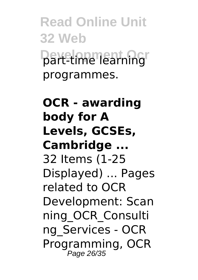**Read Online Unit 32 Web Daxelopment Ocr** programmes.

**OCR - awarding body for A Levels, GCSEs, Cambridge ...** 32 Items (1-25 Displayed) ... Pages related to OCR Development: Scan ning\_OCR\_Consulti ng\_Services - OCR Programming, OCR Page 26/35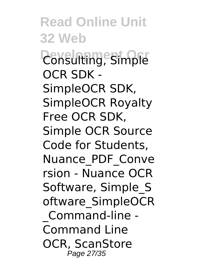**Read Online Unit 32 Web Consulting, Simple** OCR SDK - SimpleOCR SDK, SimpleOCR Royalty Free OCR SDK, Simple OCR Source Code for Students, Nuance\_PDF\_Conve rsion - Nuance OCR Software, Simple\_S oftware\_SimpleOCR \_Command-line - Command Line OCR, ScanStore Page 27/35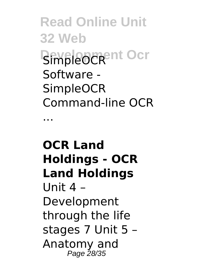**Read Online Unit 32 Web BENBLEOCRENT OCT** Software - **SimpleOCR** Command-line OCR

...

# **OCR Land Holdings - OCR Land Holdings** Unit 4 – Development through the life stages 7 Unit 5 – Anatomy and Page 28/35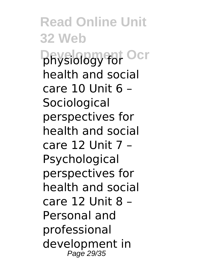**Read Online Unit 32 Web DRysiology for Ocr** health and social care 10 Unit 6 – **Sociological** perspectives for health and social care 12 Unit 7 – Psychological perspectives for health and social care 12 Unit 8 – Personal and professional development in Page 29/35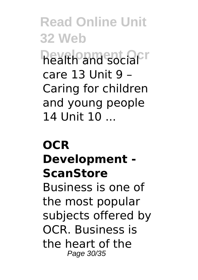**Read Online Unit 32 Web Development Ocr** care 13 Unit 9 – Caring for children and young people 14 Unit 10 ...

# **OCR Development - ScanStore** Business is one of the most popular subjects offered by OCR. Business is the heart of the Page 30/35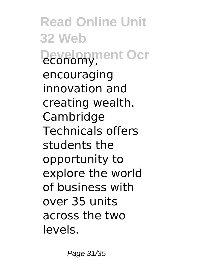**Read Online Unit 32 Web Development Ocr** encouraging innovation and creating wealth. Cambridge Technicals offers students the opportunity to explore the world of business with over 35 units across the two levels.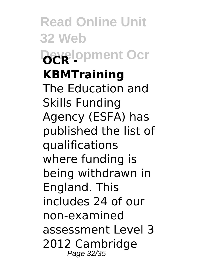**Read Online Unit 32 Web Development Ocr KBMTraining** The Education and Skills Funding Agency (ESFA) has published the list of qualifications where funding is being withdrawn in England. This includes 24 of our non-examined assessment Level 3 2012 Cambridge Page 32/35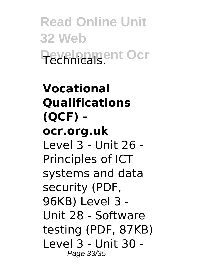**Read Online Unit 32 Web Pevelopment Ocr** 

**Vocational Qualifications (QCF) ocr.org.uk** Level 3 - Unit 26 - Principles of ICT systems and data security (PDF, 96KB) Level 3 - Unit 28 - Software testing (PDF, 87KB) Level 3 - Unit 30 - Page 33/35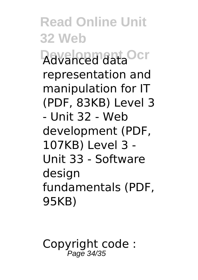**Read Online Unit 32 Web Davancemant Ocr** representation and manipulation for IT (PDF, 83KB) Level 3 - Unit 32 - Web development (PDF, 107KB) Level 3 - Unit 33 - Software design fundamentals (PDF, 95KB)

Copyright code : Page 34/35